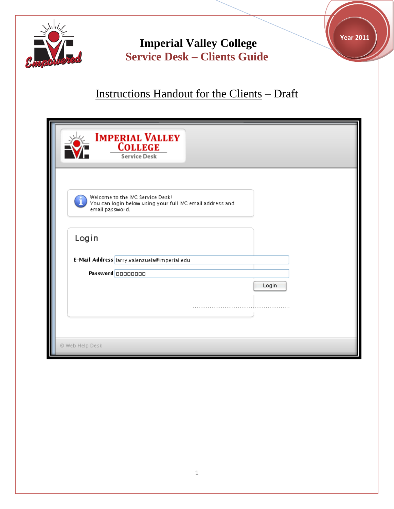

**Year 2011**



| <b>IMPERIAL VALLEY</b><br><b>COLLEGE</b><br><b>Service Desk</b>                                                  |       |
|------------------------------------------------------------------------------------------------------------------|-------|
| Welcome to the IVC Service Desk!<br>You can login below using your full IVC email address and<br>email password. |       |
| Login                                                                                                            |       |
| E-Mail Address larry.valenzuela@imperial.edu                                                                     |       |
| Password 00000000                                                                                                |       |
|                                                                                                                  | Login |
|                                                                                                                  |       |
|                                                                                                                  |       |
|                                                                                                                  |       |
| © Web Help Desk                                                                                                  |       |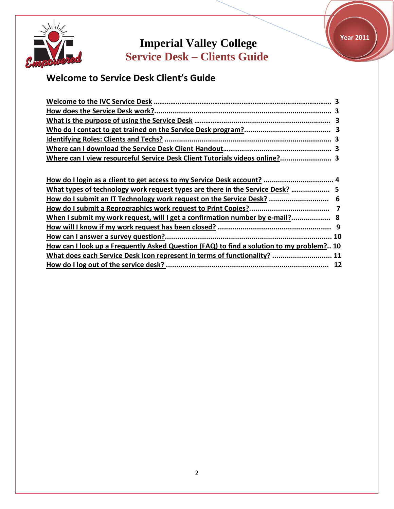

**Year 2011**

# **Welcome to Service Desk Client's Guide**

| Where can I view resourceful Service Desk Client Tutorials videos online? 3 |  |
|-----------------------------------------------------------------------------|--|

| How do I login as a client to get access to my Service Desk account?  4                  |  |
|------------------------------------------------------------------------------------------|--|
| What types of technology work request types are there in the Service Desk?  5            |  |
| How do I submit an IT Technology work request on the Service Desk?  6                    |  |
|                                                                                          |  |
| When I submit my work request, will I get a confirmation number by e-mail? 8             |  |
|                                                                                          |  |
|                                                                                          |  |
| How can I look up a Frequently Asked Question (FAQ) to find a solution to my problem? 10 |  |
| What does each Service Desk icon represent in terms of functionality?  11                |  |
|                                                                                          |  |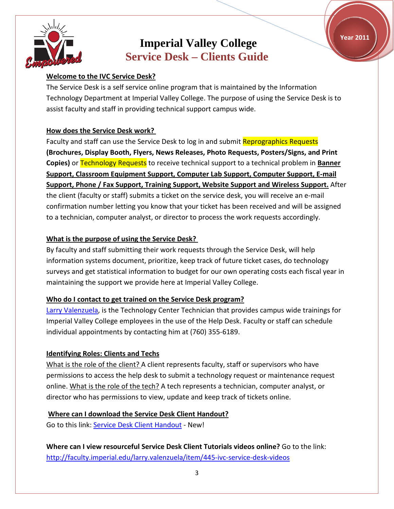**Year 2011**



## **Imperial Valley College Service Desk – Clients Guide**

### **Welcome to the IVC Service Desk?**

The Service Desk is a self service online program that is maintained by the Information Technology Department at Imperial Valley College. The purpose of using the Service Desk is to assist faculty and staff in providing technical support campus wide.

### **How does the Service Desk work?**

Faculty and staff can use the Service Desk to log in and submit Reprographics Requests **(Brochures, Display Booth, Flyers, News Releases, Photo Requests, Posters/Signs, and Print Copies)** or Technology Requests to receive technical support to a technical problem in **Banner Support, Classroom Equipment Support, Computer Lab Support, Computer Support, E-mail Support, Phone / Fax Support, Training Support, Website Support and Wireless Support.** After the client (faculty or staff) submits a ticket on the service desk, you will receive an e-mail confirmation number letting you know that your ticket has been received and will be assigned to a technician, computer analyst, or director to process the work requests accordingly.

### **What is the purpose of using the Service Desk?**

By faculty and staff submitting their work requests through the Service Desk, will help information systems document, prioritize, keep track of future ticket cases, do technology surveys and get statistical information to budget for our own operating costs each fiscal year in maintaining the support we provide here at Imperial Valley College.

### **Who do I contact to get trained on the Service Desk program?**

[Larry Valenzuela,](http://www.imperial.edu/index.php?pid=122) is the Technology Center Technician that provides campus wide trainings for Imperial Valley College employees in the use of the Help Desk. Faculty or staff can schedule individual appointments by contacting him at (760) 355-6189.

### **Identifying Roles: Clients and Techs**

What is the role of the client? A client represents faculty, staff or supervisors who have permissions to access the help desk to submit a technology request or maintenance request online. What is the role of the tech? A tech represents a technician, computer analyst, or director who has permissions to view, update and keep track of tickets online.

### **Where can I download the Service Desk Client Handout?**

Go to this link: Service [Desk Client Handout](http://faculty.imperial.edu/images/users/81/Service%20Desk%20Clients%20Guide%20Handout%20-%20Reprogaphics.pdf) - New!

**Where can I view resourceful Service Desk Client Tutorials videos online?** Go to the link: <http://faculty.imperial.edu/larry.valenzuela/item/445-ivc-service-desk-videos>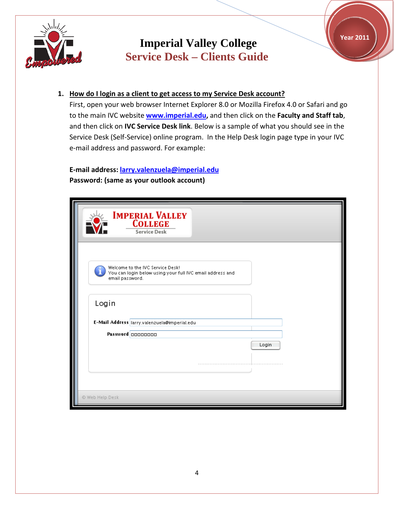



### **1. How do I login as a client to get access to my Service Desk account?**

First, open your web browser Internet Explorer 8.0 or Mozilla Firefox 4.0 or Safari and go to the main IVC website **[www.imperial.edu,](http://www.imperial.edu/)** and then click on the **Faculty and Staff tab**, and then click on **IVC Service Desk link**. Below is a sample of what you should see in the Service Desk (Self-Service) online program. In the Help Desk login page type in your IVC e-mail address and password. For example:

## **E-mail address: [larry.valenzuela@imperial.edu](mailto:larry.valenzuela@imperial.edu) Password: (same as your outlook account)**

| <b>IMPERIAL VALLEY</b><br><b>COLLEGE</b><br><b>Service Desk</b>                                                  |
|------------------------------------------------------------------------------------------------------------------|
| Welcome to the IVC Service Desk!<br>You can login below using your full IVC email address and<br>email password. |
| Login                                                                                                            |
| E-Mail Address larry.valenzuela@imperial.edu                                                                     |
| Password 00000000                                                                                                |
| Login                                                                                                            |
|                                                                                                                  |
| @ Web Help Desk                                                                                                  |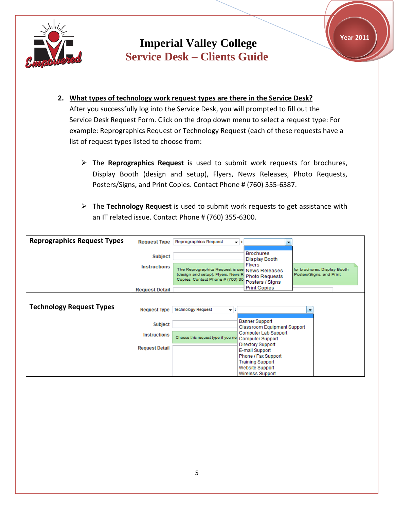



- **2. What types of technology work request types are there in the Service Desk?** After you successfully log into the Service Desk, you will prompted to fill out the Service Desk Request Form. Click on the drop down menu to select a request type: For example: Reprographics Request or Technology Request (each of these requests have a list of request types listed to choose from:
	- The **Reprographics Request** is used to submit work requests for brochures, Display Booth (design and setup), Flyers, News Releases, Photo Requests, Posters/Signs, and Print Copies. Contact Phone # (760) 355-6387.
	- The **Technology Request** is used to submit work requests to get assistance with an IT related issue. Contact Phone # (760) 355-6300.

| <b>Reprographics Request Types</b> | <b>Request Type</b>   | Reprographics Request                                                                | $\rightarrow$ 11                               |                                                          |
|------------------------------------|-----------------------|--------------------------------------------------------------------------------------|------------------------------------------------|----------------------------------------------------------|
|                                    | <b>Subject</b>        |                                                                                      | <b>Brochures</b><br>Display Booth              |                                                          |
|                                    | <b>Instructions</b>   | The Reprographics Request is use News Releases<br>(design and setup), Flyers, News R | <b>Flyers</b><br><b>Photo Requests</b>         | for brochures, Display Booth<br>Posters/Signs, and Print |
|                                    |                       | Copies. Contact Phone # (760) 35                                                     | Posters / Signs                                |                                                          |
|                                    | <b>Request Detail</b> |                                                                                      | <b>Print Copies</b>                            |                                                          |
| <b>Technology Request Types</b>    | <b>Request Type</b>   | <b>Technology Request</b><br>v ∷                                                     |                                                |                                                          |
|                                    | <b>Subject</b>        |                                                                                      | Banner Support<br>Classroom Equipment Support  |                                                          |
|                                    | <b>Instructions</b>   | Choose this request type if you ne Computer Support                                  | Computer Lab Support                           |                                                          |
|                                    | <b>Request Detail</b> |                                                                                      | Directory Support<br>E-mail Support            |                                                          |
|                                    |                       |                                                                                      | Phone / Fax Support<br><b>Training Support</b> |                                                          |
|                                    |                       |                                                                                      | Website Support<br>Wireless Support            |                                                          |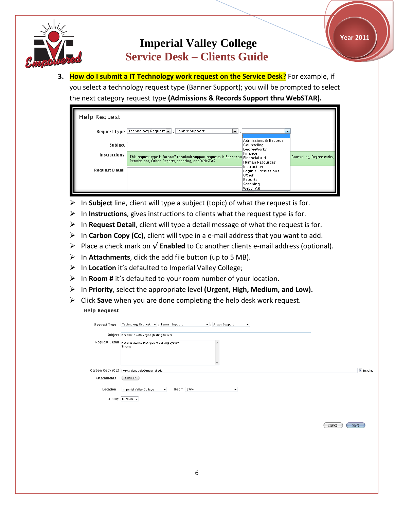

**3. How do I submit a IT Technology work request on the Service Desk?** For example, if you select a technology request type (Banner Support); you will be prompted to select the next category request type **(Admissions & Records Support thru WebSTAR).**

| Help Request          |                                                                                                                                             |                                                              |                          |
|-----------------------|---------------------------------------------------------------------------------------------------------------------------------------------|--------------------------------------------------------------|--------------------------|
|                       | Request Type   Technology Request     Banner Support<br>- :                                                                                 | $\overline{\phantom{a}}$                                     |                          |
| Subject               |                                                                                                                                             | <b>Admissions &amp; Records</b><br>Counseling<br>DegreeWorks |                          |
| Instructions          | This request type is for staff to submit support requests in Banner surfinancial Aid<br>Permissions, Other, Reports, Scanning, and WebSTAR. | Finance<br><b>Human Resources</b>                            | Counseling, Degreeworks, |
| <b>Request Detail</b> |                                                                                                                                             | Instruction<br>Login / Permissions<br>Other<br>Reports       |                          |
|                       |                                                                                                                                             | Scanning<br>WebSTAR                                          |                          |

- In **Subject** line, client will type a subject (topic) of what the request is for.
- $\triangleright$  In **Instructions**, gives instructions to clients what the request type is for.
- In **Request Detail**, client will type a detail message of what the request is for.
- In **Carbon Copy (Cc),** client will type in a e-mail address that you want to add.
- Place a check mark on **√ Enabled** to Cc another clients e-mail address (optional).
- $\triangleright$  In **Attachments**, click the add file button (up to 5 MB).
- In **Location** it's defaulted to Imperial Valley College;
- In **Room #** it's defaulted to your room number of your location.
- In **Priority**, select the appropriate level **(Urgent, High, Medium, and Low).**
- Click **Save** when you are done completing the help desk work request. **Help Request**

|             | Subject Need help with Argos (testing ticket).                                               |                  |
|-------------|----------------------------------------------------------------------------------------------|------------------|
|             | Request D etail Need assitance in Argos reporting system.<br>Thanks.                         |                  |
|             | Carbon Copy (Cc) larry.valenzuela@imperial.edu                                               | <b>V</b> Enabled |
| Attachments | Add File                                                                                     |                  |
| Location    | Room 1704<br>Imperial Valley College<br>$\overline{\phantom{a}}$<br>$\overline{\phantom{a}}$ |                  |
|             | Priority Medium $\star$                                                                      |                  |

Cancel Save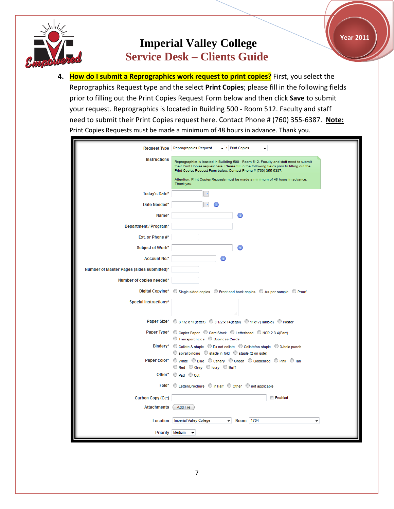

**4. How do I submit a Reprographics work request to print copies?** First, you select the Reprographics Request type and the select **Print Copies**; please fill in the following fields prior to filling out the Print Copies Request Form below and then click **Save** to submit your request. Reprographics is located in Building 500 - Room 512. Faculty and staff need to submit their Print Copies request here. Contact Phone # (760) 355-6387. **Note:** Print Copies Requests must be made a minimum of 48 hours in advance. Thank you.

|                                           | Request Type Reprographics Request<br>$\blacktriangleright$ : Print Copies                                                                                                                                                                                                                                                                    |
|-------------------------------------------|-----------------------------------------------------------------------------------------------------------------------------------------------------------------------------------------------------------------------------------------------------------------------------------------------------------------------------------------------|
| <b>Instructions</b>                       | Reprographics is located in Building 500 - Room 512. Faculty and staff need to submit<br>their Print Copies request here. Please fill in the following fields prior to filling out the<br>Print Copies Request Form below. Contact Phone # (760) 355-6387.<br>Attention: Print Copies Requests must be made a minimum of 48 hours in advance. |
|                                           | Thank you.                                                                                                                                                                                                                                                                                                                                    |
| Today's Date*                             | m.                                                                                                                                                                                                                                                                                                                                            |
| Date Needed*                              | ×<br>61                                                                                                                                                                                                                                                                                                                                       |
| Name*                                     | 6                                                                                                                                                                                                                                                                                                                                             |
| Department / Program*                     |                                                                                                                                                                                                                                                                                                                                               |
| Ext. or Phone #*                          |                                                                                                                                                                                                                                                                                                                                               |
| Subject of Work*                          |                                                                                                                                                                                                                                                                                                                                               |
| <b>Account No.*</b>                       |                                                                                                                                                                                                                                                                                                                                               |
| Number of Master Pages (sides submitted)* |                                                                                                                                                                                                                                                                                                                                               |
| Number of copies needed*                  |                                                                                                                                                                                                                                                                                                                                               |
| Digital Copying*                          | © Single sided copies © Front and back copies © As per sample © Proof                                                                                                                                                                                                                                                                         |
| <b>Special Instructions*</b>              |                                                                                                                                                                                                                                                                                                                                               |
|                                           | Paper Size* © 8 1/2 x 11(letter) © 8 1/2 x 14(legal) © 11x17(Tabloid) © Poster                                                                                                                                                                                                                                                                |
|                                           | Paper Type* © Copier Paper © Card Stock © Letterhead © NCR 2 3 4(Part)                                                                                                                                                                                                                                                                        |
|                                           | C Transparencies C Business Cards<br>Bindery* © Collate & staple © Do not collate © Collate/no staple © 3-hole punch                                                                                                                                                                                                                          |
|                                           | $\circledcirc$ spiral binding $\circledcirc$ staple in fold $\circledcirc$ staple (2 on side)                                                                                                                                                                                                                                                 |
|                                           | Paper color* O White O Blue O Canary O Green O Goldenrod O Pink O Tan<br>Red Grey O Ivory O Buff                                                                                                                                                                                                                                              |
|                                           | Other* Pad Cut                                                                                                                                                                                                                                                                                                                                |
|                                           | Fold* © Letter/Brochure © In Half © Other © not applicable                                                                                                                                                                                                                                                                                    |
| Carbon Copy (Cc:)                         | Enabled                                                                                                                                                                                                                                                                                                                                       |
| <b>Attachments</b>                        | Add File                                                                                                                                                                                                                                                                                                                                      |
| Location                                  | Room 1704<br><b>Imperial Valley College</b><br>▼.                                                                                                                                                                                                                                                                                             |
|                                           | Priority Medium                                                                                                                                                                                                                                                                                                                               |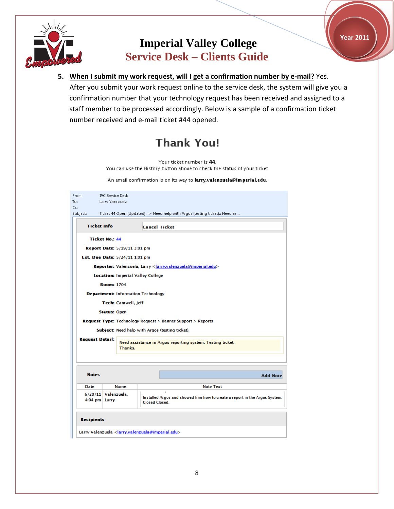

**5. When I submit my work request, will I get a confirmation number by e-mail?** Yes. After you submit your work request online to the service desk, the system will give you a confirmation number that your technology request has been received and assigned to a staff member to be processed accordingly. Below is a sample of a confirmation ticket number received and e-mail ticket #44 opened.

# **Thank You!**

Your ticket number is 44. You can use the History button above to check the status of your ticket.

An email confirmation is on its way to larry.valenzuela@imperial.edu.

| From:<br>To:<br>Cc:               | <b>IVC Service Desk</b><br>Larry Valenzuela |                                          |                                                                                                     |
|-----------------------------------|---------------------------------------------|------------------------------------------|-----------------------------------------------------------------------------------------------------|
| Subject:                          |                                             |                                          | Ticket 44 Open (Updated) --> Need help with Argos (testing ticket).: Need as                        |
|                                   | <b>Ticket Info</b>                          |                                          | <b>Cancel Ticket</b>                                                                                |
|                                   | <b>Ticket No.: 44</b>                       |                                          |                                                                                                     |
|                                   |                                             | <b>Report Date: 5/19/11 3:01 pm</b>      |                                                                                                     |
|                                   |                                             | <b>Est. Due Date: 5/24/11 1:01 pm</b>    |                                                                                                     |
|                                   |                                             |                                          | <b>Reporter:</b> Valenzuela, Larry <larry.valenzuela@imperial.edu></larry.valenzuela@imperial.edu>  |
|                                   |                                             | <b>Location: Imperial Valley College</b> |                                                                                                     |
|                                   | <b>Room: 1704</b>                           |                                          |                                                                                                     |
|                                   |                                             |                                          | <b>Department: Information Technology</b>                                                           |
|                                   |                                             | Tech: Cantwell, Jeff                     |                                                                                                     |
|                                   | <b>Status: Open</b>                         |                                          |                                                                                                     |
|                                   |                                             |                                          | <b>Request Type: Technology Request &gt; Banner Support &gt; Reports</b>                            |
|                                   |                                             |                                          | <b>Subject:</b> Need help with Argos (testing ticket).                                              |
| <b>Request Detail:</b><br>Thanks. |                                             |                                          | Need assistance in Argos reporting system. Testing ticket.                                          |
| <b>Notes</b>                      |                                             |                                          | <b>Add Note</b>                                                                                     |
| <b>Date</b>                       |                                             | <b>Name</b>                              | <b>Note Text</b>                                                                                    |
|                                   | $6/20/11$ Valenzuela,<br>4:04 pm Larry      |                                          | Installed Argos and showed him how to create a report in the Argos System.<br><b>Closed Closed.</b> |
| <b>Recipients</b>                 |                                             |                                          | Larry Valenzuela <larry.valenzuela@imperial.edu></larry.valenzuela@imperial.edu>                    |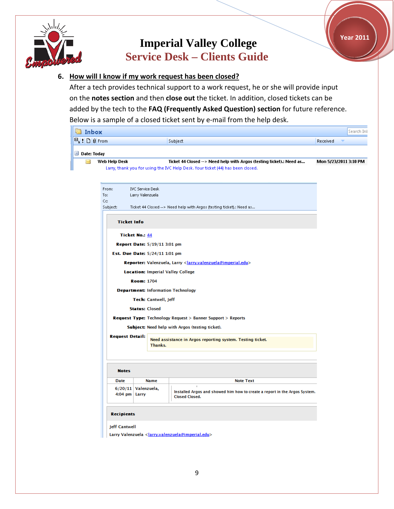



## **6. How will I know if my work request has been closed?**

After a tech provides technical support to a work request, he or she will provide input on the **notes section** and then **close out** the ticket. In addition, closed tickets can be added by the tech to the **FAQ (Frequently Asked Question) section** for future reference. Below is a sample of a closed ticket sent by e-mail from the help desk.

| ⊠ Inbox                         |                                                                |                                                                                                                                                         | Search Int            |
|---------------------------------|----------------------------------------------------------------|---------------------------------------------------------------------------------------------------------------------------------------------------------|-----------------------|
| $\mathbb{E}_1$ : 0   8 From     |                                                                | Subject                                                                                                                                                 | Received              |
| $\Box$ Date: Today              |                                                                |                                                                                                                                                         |                       |
| X<br>Web Help Desk              |                                                                | Ticket 44 Closed --> Need help with Argos (testing ticket).: Need as<br>Larry, thank you for using the IVC Help Desk. Your ticket (44) has been closed. | Mon 5/23/2011 3:10 PM |
| From:<br>To:<br>Cc:<br>Subject: | <b>IVC Service Desk</b><br>Larry Valenzuela                    | Ticket 44 Closed --> Need help with Argos (testing ticket).: Need as                                                                                    |                       |
|                                 | <b>Ticket Info</b>                                             |                                                                                                                                                         |                       |
|                                 | <b>Ticket No.: 44</b>                                          |                                                                                                                                                         |                       |
|                                 | Report Date: 5/19/11 3:01 pm<br>Est. Due Date: 5/24/11 1:01 pm |                                                                                                                                                         |                       |
|                                 | <b>Location: Imperial Valley College</b>                       | Reporter: Valenzuela, Larry < larry.valenzuela@imperial.edu>                                                                                            |                       |
|                                 | <b>Room: 1704</b>                                              |                                                                                                                                                         |                       |
|                                 | <b>Department: Information Technology</b>                      |                                                                                                                                                         |                       |
|                                 | Tech: Cantwell, Jeff                                           |                                                                                                                                                         |                       |
|                                 | <b>Status: Closed</b>                                          |                                                                                                                                                         |                       |
|                                 |                                                                | <b>Request Type: Technology Request &gt; Banner Support &gt; Reports</b>                                                                                |                       |
|                                 |                                                                | Subject: Need help with Argos (testing ticket).                                                                                                         |                       |
|                                 | <b>Request Detail:</b><br>Thanks.                              | Need assistance in Argos reporting system. Testing ticket.                                                                                              |                       |
|                                 |                                                                |                                                                                                                                                         |                       |
| <b>Notes</b>                    |                                                                |                                                                                                                                                         |                       |
| <b>Date</b>                     | <b>Name</b>                                                    | <b>Note Text</b><br>×.                                                                                                                                  |                       |
|                                 | $6/20/11$ Valenzuela,<br>4:04 pm Larry                         | Installed Argos and showed him how to create a report in the Argos System.<br><b>Closed Closed.</b>                                                     |                       |
| <b>Recipients</b>               |                                                                |                                                                                                                                                         |                       |
| <b>Jeff Cantwell</b>            |                                                                | Larry Valenzuela <larry.valenzuela@imperial.edu></larry.valenzuela@imperial.edu>                                                                        |                       |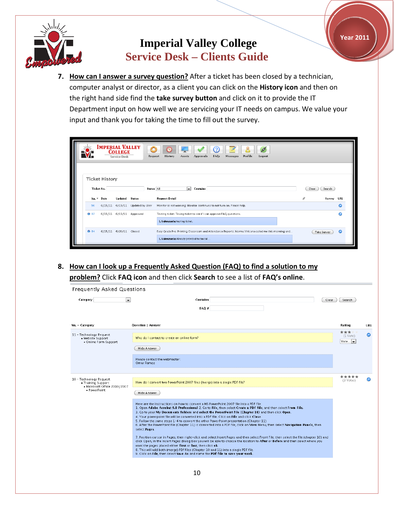

**7. How can I answer a survey question?** After a ticket has been closed by a technician, computer analyst or director, as a client you can click on the **History icon** and then on the right hand side find the **take survey button** and click on it to provide the IT Department input on how well we are servicing your IT needs on campus. We value your input and thank you for taking the time to fill out the survey.

|                                     | <b>IMPERIAL VALLEY</b> | <b>COLLEGE</b><br><b>Service Desk</b> |                          | Profile<br><b>History</b><br>FAQs<br><b>Messages</b><br>Request<br>Assets<br><b>Approvals</b><br>Logout                                           |                 |     |
|-------------------------------------|------------------------|---------------------------------------|--------------------------|---------------------------------------------------------------------------------------------------------------------------------------------------|-----------------|-----|
| <b>Ticket History</b><br>Ticket No. |                        |                                       |                          | Status All<br>$\mathbf{r}$<br><b>Contains</b>                                                                                                     | Search<br>Clear |     |
| No. v                               | Date                   | Updated                               | Status                   | <b>Request Detail</b>                                                                                                                             | Survey          | URL |
| 90                                  | 6/15/11                | 6/15/11                               | Updated by User          | Monitor is not working: Monitor continues to not turn on. Please help.                                                                            |                 |     |
| $Q$ 87                              |                        |                                       | 6/15/11 6/15/11 Approved | Testing ticket: Tesing ticket to see if I can approve FAQ questions.<br>L. Valenzuela: testing ticket.                                            |                 |     |
| ● 84                                | 6/15/11 6/20/11        |                                       | Closed                   | Easy Grade Pro: Printing Classroom and Attendance Reports: Norma Viricana called me this morning and<br>L. Valenzuela: Already provided technical | Take Survey     | ര   |

**8. How can I look up a Frequently Asked Question (FAQ) to find a solution to my problem?** Click **FAQ icon** and then click **Search** to see a list of **FAQ's online**.

| Category                                                              | <b>Contains</b><br>$\blacksquare$<br>Clear<br>FAO#                                                                                                                                                                                                                                                                                                                                                                                                                                                                                                                                                                                                                         | Search                            |                       |
|-----------------------------------------------------------------------|----------------------------------------------------------------------------------------------------------------------------------------------------------------------------------------------------------------------------------------------------------------------------------------------------------------------------------------------------------------------------------------------------------------------------------------------------------------------------------------------------------------------------------------------------------------------------------------------------------------------------------------------------------------------------|-----------------------------------|-----------------------|
| No. - Category                                                        | <b>Question   Answer</b>                                                                                                                                                                                                                                                                                                                                                                                                                                                                                                                                                                                                                                                   | Ratino                            | URL                   |
| 11 - Technology Request<br>• Website Support<br>• Online Form Support | Who do I contact to create an online form?<br>Hide Answer                                                                                                                                                                                                                                                                                                                                                                                                                                                                                                                                                                                                                  | ***<br>$(1 \text{ Vote})$<br>Vote | $\boldsymbol{\omega}$ |
|                                                                       | Please contact the webmaster:<br>Omar Ramos                                                                                                                                                                                                                                                                                                                                                                                                                                                                                                                                                                                                                                |                                   |                       |
| 10 - Technology Request<br>• Training Support                         | How do I convert two PowerPoint 2007 files (merge) into a single PDF file?                                                                                                                                                                                                                                                                                                                                                                                                                                                                                                                                                                                                 | *****<br>(3 Votes)                | ౚ                     |
| · Microsoft Office 2010/2007<br>• PowerPoint                          | Hide Answer<br>Here are the instructions on how to convert a MS PowerPoint 2007 file into a PDF file:<br>1. Open Adobe Acrobat 9.0 Professional 2. Go to File, then select Create a PDF file, and then select From File.<br>3. Go to your My Documents folders and select the PowerPoint file (Chapter 10) and then click Open.<br>4. Your powerpoint file will be converted into a PDF file. Click on File and click Close.<br>5. Follow the same steps 1-4 to convert the other PowerPoint presentation (Chapter 11)<br>6. After the PowerPoint file (Chapter 11) is converted into a PDF file, click on View Menu, then select Navigation Panels, then<br>select Pages. |                                   |                       |
|                                                                       | 7. Position cursor in Pages, then right-click and select Insert Pages and then select Front File, then select the file (chapter 10) and<br>click Open, in the Insert Pages dialog box you will be able to choose the location to After or Before and then select where you<br>want the pages placed either first or last, then click ok.<br>8. This will add both (merge) PDf files (Chapter 10 and 11) into a single PDF file.<br>9. Click on File, then select Save As and name the PDf file to save your work.                                                                                                                                                          |                                   |                       |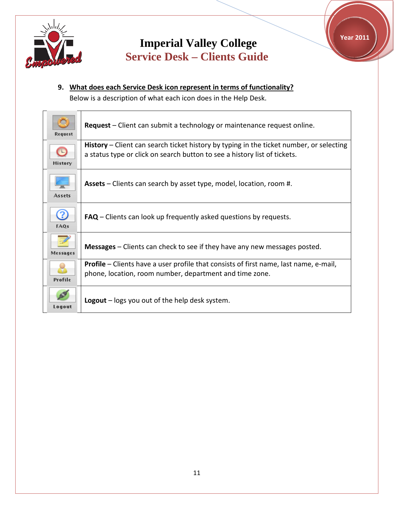

**Year 2011**



Below is a description of what each icon does in the Help Desk.

| Request                  | Request – Client can submit a technology or maintenance request online.                                                                                              |
|--------------------------|----------------------------------------------------------------------------------------------------------------------------------------------------------------------|
| $\Box$<br><b>History</b> | History – Client can search ticket history by typing in the ticket number, or selecting<br>a status type or click on search button to see a history list of tickets. |
| <b>Assets</b>            | Assets – Clients can search by asset type, model, location, room #.                                                                                                  |
| 2<br><b>FAOs</b>         | $FAQ$ – Clients can look up frequently asked questions by requests.                                                                                                  |
| <b>Messages</b>          | Messages – Clients can check to see if they have any new messages posted.                                                                                            |
| Profile                  | <b>Profile</b> – Clients have a user profile that consists of first name, last name, e-mail,<br>phone, location, room number, department and time zone.              |
| Logout                   | <b>Logout</b> $-$ logs you out of the help desk system.                                                                                                              |